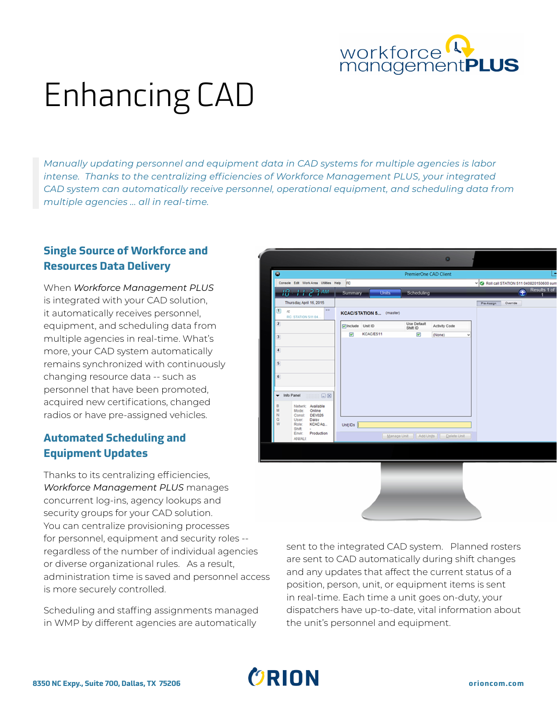

# Enhancing CAD

*Manually updating personnel and equipment data in CAD systems for multiple agencies is labor intense. Thanks to the centralizing efficiencies of Workforce Management PLUS, your integrated CAD system can automatically receive personnel, operational equipment, and scheduling data from multiple agencies ... all in real-time.* 

#### **Single Source of Workforce and Resources Data Delivery**

When *Workforce Management PLUS* is integrated with your CAD solution, it automatically receives personnel, equipment, and scheduling data from multiple agencies in real-time. What's more, your CAD system automatically remains synchronized with continuously changing resource data -- such as personnel that have been promoted, acquired new certifications, changed radios or have pre-assigned vehicles.

#### **Automated Scheduling and Equipment Updates**

Thanks to its centralizing efficiencies, *Workforce Management PLUS* manages concurrent log-ins, agency lookups and security groups for your CAD solution. You can centralize provisioning processes for personnel, equipment and security roles - regardless of the number of individual agencies or diverse organizational rules. As a result, administration time is saved and personnel access is more securely controlled.

Scheduling and staffing assignments managed in WMP by different agencies are automatically



sent to the integrated CAD system. Planned rosters are sent to CAD automatically during shift changes and any updates that affect the current status of a position, person, unit, or equipment items is sent in real-time. Each time a unit goes on-duty, your dispatchers have up-to-date, vital information about the unit's personnel and equipment.